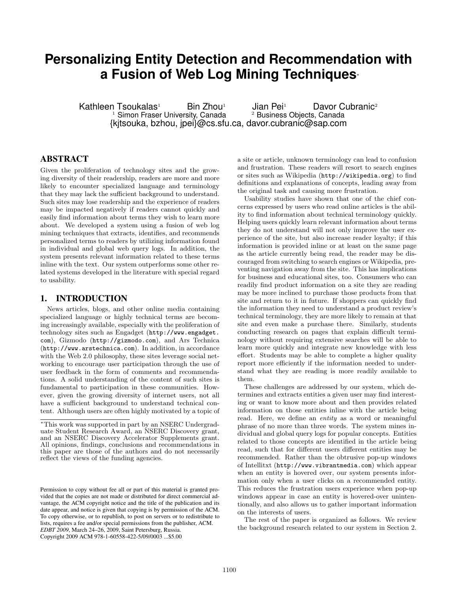# **Personalizing Entity Detection and Recommendation with a Fusion of Web Log Mining Techniques**<sup>∗</sup>

Kathleen Tsoukalas<sup>1</sup> Bin Zhou<sup>1</sup> Jian Pei<sup>1</sup> Davor Cubranic<sup>2</sup><br><sup>2</sup> Business Objects, Canada<br><sup>2</sup> Business Objects, Canada <sup>2</sup> Business Objects, Canada {kjtsouka, bzhou, jpei}@cs.sfu.ca, davor.cubranic@sap.com

## ABSTRACT

Given the proliferation of technology sites and the growing diversity of their readership, readers are more and more likely to encounter specialized language and terminology that they may lack the sufficient background to understand. Such sites may lose readership and the experience of readers may be impacted negatively if readers cannot quickly and easily find information about terms they wish to learn more about. We developed a system using a fusion of web log mining techniques that extracts, identifies, and recommends personalized terms to readers by utilizing information found in individual and global web query logs. In addition, the system presents relevant information related to these terms inline with the text. Our system outperforms some other related systems developed in the literature with special regard to usability.

#### 1. INTRODUCTION

News articles, blogs, and other online media containing specialized language or highly technical terms are becoming increasingly available, especially with the proliferation of technology sites such as Engadget (http://www.engadget. com), Gizmodo (http://gizmodo.com), and Ars Technica (http://www.arstechnica.com). In addition, in accordance with the Web 2.0 philosophy, these sites leverage social networking to encourage user participation through the use of user feedback in the form of comments and recommendations. A solid understanding of the content of such sites is fundamental to participation in these communities. However, given the growing diversity of internet users, not all have a sufficient background to understand technical content. Although users are often highly motivated by a topic of

a site or article, unknown terminology can lead to confusion and frustration. These readers will resort to search engines or sites such as Wikipedia (http://wikipedia.org) to find definitions and explanations of concepts, leading away from the original task and causing more frustration.

Usability studies have shown that one of the chief concerns expressed by users who read online articles is the ability to find information about technical terminology quickly. Helping users quickly learn relevant information about terms they do not understand will not only improve the user experience of the site, but also increase reader loyalty; if this information is provided inline or at least on the same page as the article currently being read, the reader may be discouraged from switching to search engines or Wikipedia, preventing navigation away from the site. This has implications for business and educational sites, too. Consumers who can readily find product information on a site they are reading may be more inclined to purchase those products from that site and return to it in future. If shoppers can quickly find the information they need to understand a product review's technical terminology, they are more likely to remain at that site and even make a purchase there. Similarly, students conducting research on pages that explain difficult terminology without requiring extensive searches will be able to learn more quickly and integrate new knowledge with less effort. Students may be able to complete a higher quality report more efficiently if the information needed to understand what they are reading is more readily available to them.

These challenges are addressed by our system, which determines and extracts entities a given user may find interesting or want to know more about and then provides related information on those entities inline with the article being read. Here, we define an *entity* as a word or meaningful phrase of no more than three words. The system mines individual and global query logs for popular concepts. Entities related to those concepts are identified in the article being read, such that for different users different entities may be recommended. Rather than the obtrusive pop-up windows of Intellitxt (http://www.vibrantmedia.com) which appear when an entity is hovered over, our system presents information only when a user clicks on a recommended entity. This reduces the frustration users experience when pop-up windows appear in case an entity is hovered-over unintentionally, and also allows us to gather important information on the interests of users.

The rest of the paper is organized as follows. We review the background research related to our system in Section 2.

<sup>∗</sup>This work was supported in part by an NSERC Undergraduate Student Research Award, an NSERC Discovery grant, and an NSERC Discovery Accelerator Supplements grant. All opinions, findings, conclusions and recommendations in this paper are those of the authors and do not necessarily reflect the views of the funding agencies.

Permission to copy without fee all or part of this material is granted provided that the copies are not made or distributed for direct commercial advantage, the ACM copyright notice and the title of the publication and its date appear, and notice is given that copying is by permission of the ACM. To copy otherwise, or to republish, to post on servers or to redistribute to lists, requires a fee and/or special permissions from the publisher, ACM. *EDBT 2009*, March 24–26, 2009, Saint Petersburg, Russia. Copyright 2009 ACM 978-1-60558-422-5/09/0003 ...\$5.00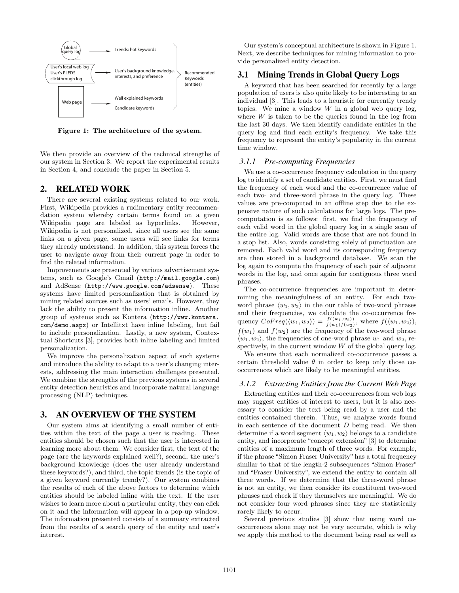

Figure 1: The architecture of the system.

We then provide an overview of the technical strengths of our system in Section 3. We report the experimental results in Section 4, and conclude the paper in Section 5.

## 2. RELATED WORK

There are several existing systems related to our work. First, Wikipedia provides a rudimentary entity recommendation system whereby certain terms found on a given Wikipedia page are labeled as hyperlinks. However, Wikipedia is not personalized, since all users see the same links on a given page, some users will see links for terms they already understand. In addition, this system forces the user to navigate away from their current page in order to find the related information.

Improvements are presented by various advertisement systems, such as Google's Gmail (http://mail.google.com) and AdSense (http://www.google.com/adsense). These systems have limited personalization that is obtained by mining related sources such as users' emails. However, they lack the ability to present the information inline. Another group of systems such as Kontera (http://www.kontera. com/demo.aspx) or Intellitxt have inline labeling, but fail to include personalization. Lastly, a new system, Contextual Shortcuts [3], provides both inline labeling and limited personalization.

We improve the personalization aspect of such systems and introduce the ability to adapt to a user's changing interests, addressing the main interaction challenges presented. We combine the strengths of the previous systems in several entity detection heuristics and incorporate natural language processing (NLP) techniques.

### 3. AN OVERVIEW OF THE SYSTEM

Our system aims at identifying a small number of entities within the text of the page a user is reading. These entities should be chosen such that the user is interested in learning more about them. We consider first, the text of the page (are the keywords explained well?), second, the user's background knowledge (does the user already understand these keywords?), and third, the topic trends (is the topic of a given keyword currently trendy?). Our system combines the results of each of the above factors to determine which entities should be labeled inline with the text. If the user wishes to learn more about a particular entity, they can click on it and the information will appear in a pop-up window. The information presented consists of a summary extracted from the results of a search query of the entity and user's interest.

Our system's conceptual architecture is shown in Figure 1. Next, we describe techniques for mining information to provide personalized entity detection.

#### 3.1 Mining Trends in Global Query Logs

A keyword that has been searched for recently by a large population of users is also quite likely to be interesting to an individual [3]. This leads to a heuristic for currently trendy topics. We mine a window  $W$  in a global web query log, where  $W$  is taken to be the queries found in the log from the last 30 days. We then identify candidate entities in the query log and find each entity's frequency. We take this frequency to represent the entity's popularity in the current time window.

#### *3.1.1 Pre-computing Frequencies*

We use a co-occurrence frequency calculation in the query log to identify a set of candidate entities. First, we must find the frequency of each word and the co-occurrence value of each two- and three-word phrase in the query log. These values are pre-computed in an offline step due to the expensive nature of such calculations for large logs. The precomputation is as follows: first, we find the frequency of each valid word in the global query log in a single scan of the entire log. Valid words are those that are not found in a stop list. Also, words consisting solely of punctuation are removed. Each valid word and its corresponding frequency are then stored in a background database. We scan the log again to compute the frequency of each pair of adjacent words in the log, and once again for contiguous three word phrases.

The co-occurrence frequencies are important in determining the meaningfulness of an entity. For each twoword phrase  $\langle w_1, w_2 \rangle$  in the our table of two-word phrases and their frequencies, we calculate the co-occurrence frequency  $CoFreq(\langle w_1, w_2 \rangle) = \frac{f(\langle w_1, w_2 \rangle)}{f(w_1)f(w_2)},$  where  $f(\langle w_1, w_2 \rangle)$ ,  $f(w_1)$  and  $f(w_2)$  are the frequency of the two-word phrase  $\langle w_1, w_2 \rangle$ , the frequencies of one-word phrase  $w_1$  and  $w_2$ , respectively, in the current window  $W$  of the global query log.

We ensure that each normalized co-occurrence passes a certain threshold value  $\theta$  in order to keep only those cooccurrences which are likely to be meaningful entities.

#### *3.1.2 Extracting Entities from the Current Web Page*

Extracting entities and their co-occurrences from web logs may suggest entities of interest to users, but it is also necessary to consider the text being read by a user and the entities contained therein. Thus, we analyze words found in each sentence of the document  $D$  being read. We then determine if a word segment  $\langle w_1, w_2 \rangle$  belongs to a candidate entity, and incorporate "concept extension" [3] to determine entities of a maximum length of three words. For example, if the phrase "Simon Fraser University" has a total frequency similar to that of the length-2 subsequences "Simon Fraser" and "Fraser University", we extend the entity to contain all three words. If we determine that the three-word phrase is not an entity, we then consider its constituent two-word phrases and check if they themselves are meaningful. We do not consider four word phrases since they are statistically rarely likely to occur.

Several previous studies [3] show that using word cooccurrences alone may not be very accurate, which is why we apply this method to the document being read as well as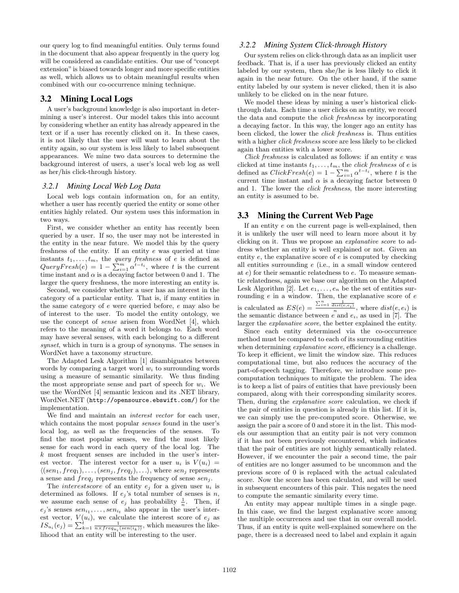our query log to find meaningful entities. Only terms found in the document that also appear frequently in the query log will be considered as candidate entities. Our use of "concept extension"is biased towards longer and more specific entities as well, which allows us to obtain meaningful results when combined with our co-occurrence mining technique.

## 3.2 Mining Local Logs

A user's background knowledge is also important in determining a user's interest. Our model takes this into account by considering whether an entity has already appeared in the text or if a user has recently clicked on it. In these cases, it is not likely that the user will want to learn about the entity again, so our system is less likely to label subsequent appearances. We mine two data sources to determine the background interest of users, a user's local web log as well as her/his click-through history.

#### *3.2.1 Mining Local Web Log Data*

Local web logs contain information on, for an entity, whether a user has recently queried the entity or some other entities highly related. Our system uses this information in two ways.

First, we consider whether an entity has recently been queried by a user. If so, the user may not be interested in the entity in the near future. We model this by the query freshness of the entity. If an entity e was queried at time instants  $t_1, \ldots, t_m$ , the *query freshness* of *e* is defined as instants  $t_1, \ldots, t_m$ , the *query freshness* or *e* is denned as<br>  $QueryFresh(e) = 1 - \sum_{i=1}^{m} \alpha^{t-t_i}$ , where *t* is the current time instant and  $\alpha$  is a decaying factor between 0 and 1. The larger the query freshness, the more interesting an entity is.

Second, we consider whether a user has an interest in the category of a particular entity. That is, if many entities in the same category of e were queried before, e may also be of interest to the user. To model the entity ontology, we use the concept of sense arisen from WordNet [4], which refers to the meaning of a word it belongs to. Each word may have several senses, with each belonging to a different synset, which in turn is a group of synonyms. The senses in WordNet have a taxonomy structure.

The Adapted Lesk Algorithm [1] disambiguates between words by comparing a target word  $w<sub>i</sub>$  to surrounding words using a measure of semantic similarity. We thus finding the most appropriate sense and part of speech for  $w_i$ . We use the WordNet [4] semantic lexicon and its .NET library, WordNet.NET (http://opensource.ebswift.com/) for the implementation.

We find and maintain an *interest vector* for each user, which contains the most popular senses found in the user's local log, as well as the frequencies of the senses. To find the most popular senses, we find the most likely sense for each word in each query of the local log. The k most frequent senses are included in the user's interest vector. The interest vector for a user  $u_i$  is  $V(u_i)$  =  $\langle (sen_1, freq_1), \ldots, (sen_j, freq_j), \ldots \rangle$ , where  $sen_j$  represents a sense and  $freq_j$  represents the frequency of sense  $sen_j$ .

The *interestscore* of an entity  $e_j$  for a given user  $u_i$  is determined as follows. If  $e_j$ 's total number of senses is  $n$ , we assume each sense of  $e_j$  has probability  $\frac{1}{n}$ . Then, if  $e_j$ 's senses  $sen_{i_1}, \ldots, sen_{i_t}$  also appear in the user's interest vector,  $V(u_i)$ , we calculate the interest score of  $e_j$  as est vector,  $V(u_i)$ , we calculate the interest score of  $e_j$  as  $IS_{u_i}(e_j) = \sum_{k=1}^{i} \frac{1}{n \times freq_{u_i}(sen(i_k))}$ , which measures the likelihood that an entity will be interesting to the user.

#### *3.2.2 Mining System Click-through History*

Our system relies on click-through data as an implicit user feedback. That is, if a user has previously clicked an entity labeled by our system, then she/he is less likely to click it again in the near future. On the other hand, if the same entity labeled by our system is never clicked, then it is also unlikely to be clicked on in the near future.

We model these ideas by mining a user's historical clickthrough data. Each time a user clicks on an entity, we record the data and compute the click freshness by incorporating a decaying factor. In this way, the longer ago an entity has been clicked, the lower the click freshness is. Thus entities with a higher *click freshness* score are less likely to be clicked again than entities with a lower score.

Click freshness is calculated as follows: if an entity e was clicked at time instants  $t_1, \ldots, t_m$ , the *click freshness* of *e* is cncked at time instants  $t_1, \ldots, t_m$ , the *cuck gresnness* or *e* is defined as  $ClickFresh(e) = 1 - \sum_{i=1}^{m} \alpha^{t-t_i}$ , where *t* is the current time instant and  $\alpha$  is a decaying factor between 0 and 1. The lower the click freshness, the more interesting an entity is assumed to be.

## 3.3 Mining the Current Web Page

If an entity e on the current page is well-explained, then it is unlikely the user will need to learn more about it by clicking on it. Thus we propose an explanative score to address whether an entity is well explained or not. Given an entity  $e$ , the explanative score of  $e$  is computed by checking all entities surrounding e (i.e., in a small window centered at e) for their semantic relatedness to e. To measure semantic relatedness, again we base our algorithm on the Adapted Lesk Algorithm [2]. Let  $e_1, \ldots, e_n$  be the set of entities surrounding  $e$  in a window. Then, the explanative score of  $e$ is calculated as  $ES(e) =$  $\frac{\sum_{i=1}^{n} \frac{1}{dist(e,e_i)}}{n}$ , where  $dist(e,e_i)$  is the semantic distance between  $e$  and  $e_i$ , as used in [7]. The larger the explanative score, the better explained the entity.

Since each entity determined via the co-occurrence method must be compared to each of its surrounding entities when determining *explanative score*, efficiency is a challenge. To keep it efficient, we limit the window size. This reduces computational time, but also reduces the accuracy of the part-of-speech tagging. Therefore, we introduce some precomputation techniques to mitigate the problem. The idea is to keep a list of pairs of entities that have previously been compared, along with their corresponding similarity scores. Then, during the *explanative score* calculation, we check if the pair of entities in question is already in this list. If it is, we can simply use the pre-computed score. Otherwise, we assign the pair a score of 0 and store it in the list. This models our assumption that an entity pair is not very common if it has not been previously encountered, which indicates that the pair of entities are not highly semantically related. However, if we encounter the pair a second time, the pair of entities are no longer assumed to be uncommon and the previous score of 0 is replaced with the actual calculated score. Now the score has been calculated, and will be used in subsequent encounters of this pair. This negates the need to compute the semantic similarity every time.

An entity may appear multiple times in a single page. In this case, we find the largest explanative score among the multiple occurrences and use that in our overall model. Thus, if an entity is quite well-explained somewhere on the page, there is a decreased need to label and explain it again